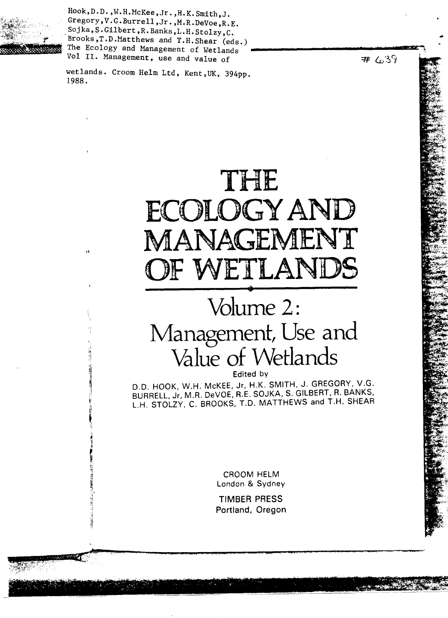

Hook,D.D. , W.H.McKee ,Jr.,H.K.Smith,J. Gregory, V.G. Burrell, Jr., M.R. DeVoe, R.E. Sojka , S.Gilbert ,R.Banks,L.H.Stolzy,C. Brooks,T.D.Matthews and T.H.Shear (eds.) The Ecology and Management of Wetlands Vol II. Management, use and value of

wetlands. Croom Helm Ltd, Kent,UK, 394pp. 1988.

# THE ECOLOGY AN ANAGEME OF WETLANDS

# Volume 2: Management, Use and Value of Wetlands •

Edited by

D.D. HOOK, W.H. McKEE, Jr, H.K. SMITH, J. GREGORY, V.G. BURRELL, Jr, M.R. DeVOE, R.E. SOJKA, S. GILBERT, R. BANKS, L.H. STOLZY, C. BROOKS, T.D. MATTHEWS and T.H. SHEAR

> CROOM HELM London & Sydney

**TIMBER PRESS Portland, Oregon**  $# 639$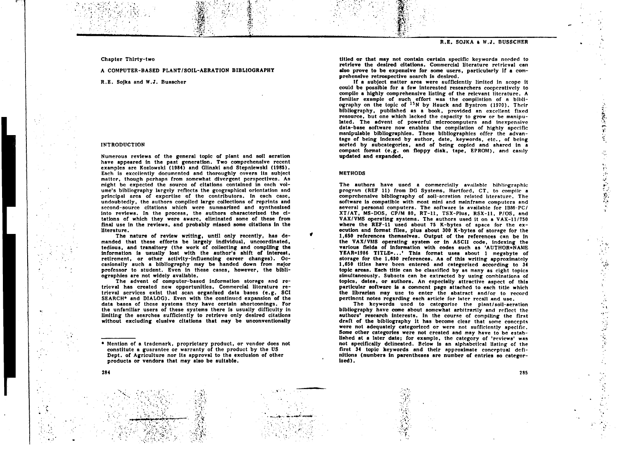Chapter Thirty-two

A COMPUTER-BASED PLANT/SOIL-AERATION BIBLIOGRAPHY

R.E. Sojka and W.J. Buescher

# INTRODUCTION

284

Numerous reviews of the general topic of plant and soil aeration have appeared in the past generation. Two comprehensive recent examples are Kozlowski (1984) and Glinaki and Stepniewski (1985). Each is excellently documented and thoroughly covers its subject matter, though perhaps from somewhat divergent perspectives. As might be expected the source of citations contained in each volume's bibliography largely reflects the geographical orientation and principal area of expertise of the contributors. In each case, undoubtedly, the authors compiled large collections of reprints and second-source citations which were summarized and synthesized into reviews. In the process, the authors characterized the citations of which they were aware, eliminated some of these from final use in the reviews, and probably missed some citations in the literature.

The nature of review writing, until only recently, has demanded that these efforts be largely individual, uncoordinated, tedious, and transitory (the work of collecting and compiling the information is usually lost with the author's shift of interest, retirement, or other activity-influencing career changes). Occasionally such a bibliography may be handed down from major professor to student. Even in these cases, however, the bibliographies are not widely available.

The advent of computer-based information storage and retrieval has created new opportunities. Commercial literature retrieval services exist that scan organized data bases (e.g. SCI SEARCH<sup>\*</sup> and DIALOG). Even with the continued expansion of the data bases of these systems they have certain shortcomings. For the unfamiliar users of these systems there is usually difficulty in limiting the searches sufficiently to retrieve only desired citations without excluding elusive citations that may be unconventionally

titled or that may not contain certain specific keywords needed to retrieve the desired citations. Commercial literature retrieval can also prove to be expensive for some users, particularly if a comprehensive retrospective search is desired.

If a subject matter area were sufficiently limited In scope it could be possible for a few interested researchers cooperatively to compile a highly comprehensive listing of the relevant literature. A familiar example of such effort was the compilation of a bibliography on the topic of <sup>15</sup>N by Hauck and Bystrom (1970). Their bibliography, published as a book, provided an excellent fixed resource, but one which lacked the capacity to grow or be manipulated. The advent of powerful microcomputers and inexpensive data-base software now enables the compilation of highly specific manipulable bibliographies. These bibliographies offer the advantage of being indexed by author, date, keywords, etc., of being sorted by subcategories, and of being copied and shared in a compact format (e.g. on floppy disk, tape, EPROM), and easily updated and expanded.

# METHODS

٠

The authors have used a commercially available bibliographic program (REF 11) from DG Systems, Hartford, CT, to compile a comprehensive bibliography of soil-aeration related literature. The software is compatible with most mini and mainframe computers and several personal computers. The software is available for IBM-PC/ XT/AT, MS-DOS, CP/M 80, *RT-11,* TSX-Plus, RSX-11, P/OS, and VAX/VMS operating systems. The authors used it on a VAX-11/750 where the REF-11 used about 75 K-bytes of space for the execution and format files, plus about 300 K-bytes of storage for the 1,650 references themselves. Output of the references can be in the VAX/VMS operating system or in ASCII code, indexing the various fields of information with codes such as 'AUTHOR=NAME YEAR=1986 TITLE=...' This format uses about 1 megabyte of storage for the 1,650 references. As of this writing approximately 1,650 titles have been entered and categorized according to 34 topic areas. Each title can be classified by as many as eight topics simultaneously. Subsets can be extracted by using combinations of topics, dates, or authors. An especially attractive aspect of this particular software is a comment page attached to each title which the librarian may use to enter the abstract and/or to record pertinent notes regarding each article for later recall and use.

The keywords used to categorize the plant/soil-aeration bibliography have come about somewhat arbitrarily and reflect the authors' research interests. In the course of compiling the first draft of the bibliography it hes become clear that some concepts were not adequately categorized or were not sufficiently specific. Some other categories were not created and may have to be established at a later date; for example, the category of 'reviews' was not specifically delineated. Below is an alphabetical listing of the first 34 topic keywords and their approximate conceptual definitions (numbers In parentheses are number of entries so categorized).

2000年5月

 $\frac{1}{\sqrt{2}}$ 

こののことを見る

 $\mathbf{\hat{f}}_1$ 

有一个人的

<sup>•</sup> Mention of a trademark, proprietary product, or vendor does not constitute a guarantee or warranty of the product by the US Dept. of Agriculture nor its approval to the exclusion of other products or vendors that may also be suitable.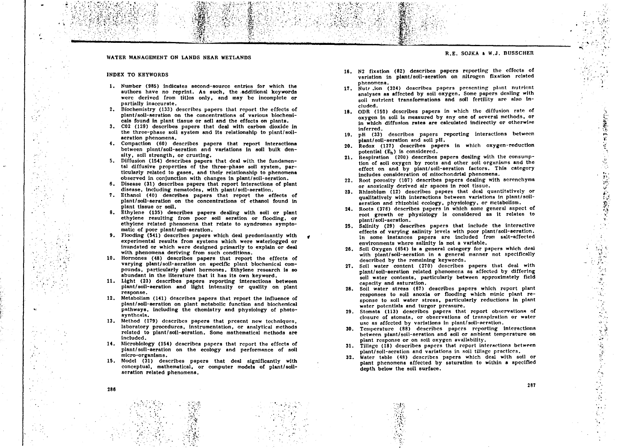# WATER MANAGEMENT ON LANDS NEAR WETLANDS

#### **INDEX** TO KEYWORDS

- 1. Number (985) indicates second-source entries for which the authors have no reprint. As such, the additional keywords were derived from titles only, and may be incomplete or partially inaccurate.
- 2. Biochemistry (133) describes papers that report the effects of plant/soil-aeration on the concentrations of various biochemicals found in plant tissue or soil and the effects on plants.
- 3. CO2 (129) describes papers that deal with carbon dioxide in the three-phase soil system and its relationship to plant/soilaeration phenomena.
- 4. Compaction (60) describes papers that report interactions between plant/soil-aeration and variations in soil bulk density, soil strength, or crusting.
- 5. Diffusion (154) describes papers that deal with the fundamental diffusive properties of the three-phase soil system, particularly related to gases, and their relationship to phenomena observed in conjunction with changes in plant/soil-aeration.
- Disease (31) describes papers that report interactions of plant disease, including nematodes, with plant/soil-aeration.
- 7. Ethanol (40) describes papers that report the effects of plant/soil-aeration on the concentrations of ethanol found in plant tissue or soil.
- 8. Ethylene (135) describes papers dealing with soil or plant ethylene resulting from poor soil aeration or flooding, or ethylene related phenomena that relate to syndromes symptomatic of poor plant/soil-aeration.
- 9. Flooding (541) describes papers which deal predominantly with experimental results from systems which were waterlogged or inundated or which were designed primarily to explain or deal with phenomena deriving from such conditions.
- 10. Hormones (48) describes papers that report the effects of varying plant/soil-aeration on specific plant biochemical compounds, particularly plant hormones. Ethylene research is so abundant in the literature that it has its own keyword.
- 11. Light (23) describes papers reporting interactions between plant/soil-aeration and light intensity or quality on plant response.
- 12. Metabolism (141) describes papers that report the influence of plant/soil-aeration on plant metabolic function and biochemical pathways, including the chemistry and physiology of photosynthesis.
- 13. Method (179) describes papers that present new techniques, laboratory procedures, instrumentation, or analytical methods related to plant/soil-aeration. Some mathematical methods are Included.
- 14. Microbiology (154) describes papers that report the effects of plant/soil-aeration on the ecology and performance of soil micro-organisms.
- 15. Model (31) describes papers that deal significantly with conceptual, mathematical, or computer models of plant/soilaeration related phenomena.

**R.E.** SOJKA a W.J. BUSSCHER

- 16. N2 fixation (82) describes papers reporting the effects of variation in plant/soil-aeration on nitrogen fixation related phenomena.
- 17. Nutr .ion (324) describes papers presenting plant nutrient analyses as affected by soil oxygen. Some papers dealing with soil nutrient transformations and soil fertility are also included.
- 18. ODR (150) describes papers in which the diffusion rate of oxygen in soil is measured by any one of several methods, or in which diffusion rates are calculated indirectly or otherwise inferred.
- 19. pH (33) describes papers reporting interactions between plant/soil-aeration and soil pll.
- 20. Redox (127) describes papers in which oxygen-reduction potential (E<sub>h</sub>) is considered.
- 21. Respiration (200) describes papers dealing with the consumption of soil oxygen by roots and other soil organisms and the effect on and by plant/soil-aeration factors. This category includes consideration of mitochondrial phenomena.
- 22. Root porosity (107) describes papers dealing with aerenchyma or anoxically derived air spaces in root tissue.
- Rhizobium (12) describes papers that deal quantitatively or qualitatively with interactions between variations in plant/soilaeration and rhizobial ecology, physiology, or metabolism.
- 24. Roots (376) describes papers in which some general aspect of root growth or physiology is considered as it relates to plant/soil-aeration.
- 25. Salinity (29) describes papers that include the interactive effects of varying salinity levels with poor plant/soil-aeration. In some instances papers are included from salt-affected environments where salinity is not a variable.
- 26. Soil Oxygen (654) is a general category for papers which deal with plant/soil-aeration in a general manner not specifically described by the remaining keywords.
- 27. Soil water content (270) describes papers that deal with plant/soil-aeration related phenomena as affected by differing soil water contents, particularly between approximately field capacity and saturation.
- 28. Soil water stress (67) describes papers which report plant responses to soil anoxia or flooding which mimic plant response to soil water stress, particularly reductions in plant water potentials and turgor pressure.
- 29. Stomata (113) describes papers that report observations of closure of stomata, or observations of transpiration or water use as affected by variations in plant/soil-aeration.
- 30. Temperature (88) describes papers reporting interactions between plant/soil-aeration and soil or ambient temperature on plant response or on soil oxygen availability.
- 31. Tillage (18) describes papers that report interactions between plant/soil-aeration and variations in soil tillage practices.
- 32. Water table (48) describes papers which deal with soil or plant phenomena affected by saturation to within a specified depth below the soil surface.

<sup>287</sup> 286

1992年1月48日

教学系在教育

 $\mathbf{R}$ 

 $\mathbf{r}_\mathrm{c}$  .

医多种病毒的 医阿尔伯氏